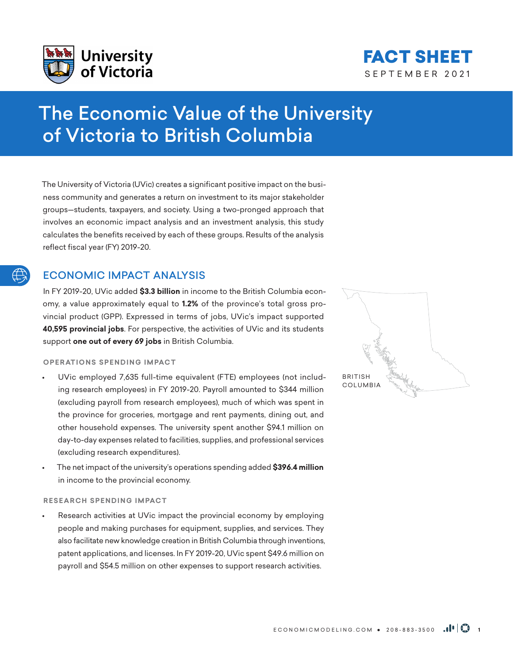



# The Economic Value of the University of Victoria to British Columbia

The University of Victoria (UVic) creates a significant positive impact on the business community and generates a return on investment to its major stakeholder groups—students, taxpayers, and society. Using a two-pronged approach that involves an economic impact analysis and an investment analysis, this study calculates the benefits received by each of these groups. Results of the analysis reflect fiscal year (FY) 2019-20.

# ECONOMIC IMPACT ANALYSIS

In FY 2019-20, UVic added **\$3.3 billion** in income to the British Columbia economy, a value approximately equal to **1.2%** of the province's total gross provincial product (GPP). Expressed in terms of jobs, UVic's impact supported **40,595 provincial jobs**. For perspective, the activities of UVic and its students support **one out of every 69 jobs** in British Columbia.

## **OPERATIONS SPENDING IMPACT**

- UVic employed 7,635 full-time equivalent (FTE) employees (not including research employees) in FY 2019-20. Payroll amounted to \$344 million (excluding payroll from research employees), much of which was spent in the province for groceries, mortgage and rent payments, dining out, and other household expenses. The university spent another \$94.1 million on day-to-day expenses related to facilities, supplies, and professional services (excluding research expenditures).
- The net impact of the university's operations spending added **\$396.4 million** in income to the provincial economy.

# **RESEARCH SPENDING IMPACT**

Research activities at UVic impact the provincial economy by employing people and making purchases for equipment, supplies, and services. They also facilitate new knowledge creation in British Columbia through inventions, patent applications, and licenses. In FY 2019-20, UVic spent \$49.6 million on payroll and \$54.5 million on other expenses to support research activities.

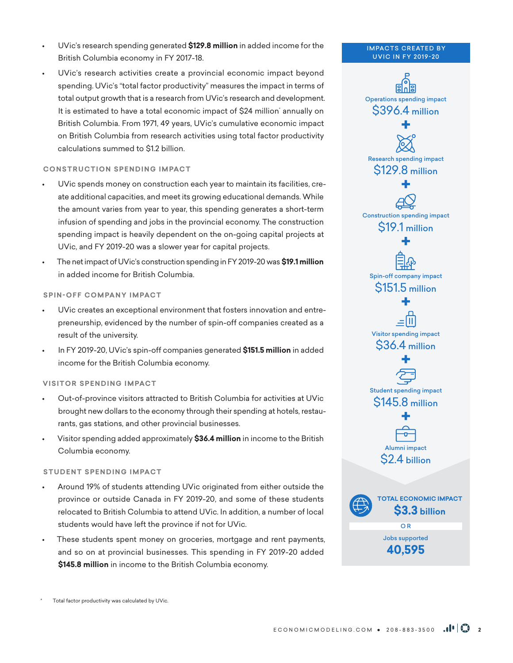- UVic's research spending generated **\$129.8 million** in added income for the British Columbia economy in FY 2017-18.
- UVic's research activities create a provincial economic impact beyond spending. UVic's "total factor productivity" measures the impact in terms of total output growth that is a research from UVic's research and development. It is estimated to have a total economic impact of \$24 million' annually on British Columbia. From 1971, 49 years, UVic's cumulative economic impact on British Columbia from research activities using total factor productivity calculations summed to \$1.2 billion.

## **CONSTRUCTION SPENDING IMPACT**

- UVic spends money on construction each year to maintain its facilities, create additional capacities, and meet its growing educational demands. While the amount varies from year to year, this spending generates a short-term infusion of spending and jobs in the provincial economy. The construction spending impact is heavily dependent on the on-going capital projects at UVic, and FY 2019-20 was a slower year for capital projects.
- The net impact of UVic's construction spending in FY 2019-20 was **\$19.1 million** in added income for British Columbia.

### **SPIN-OFF COMPANY IMPACT**

- UVic creates an exceptional environment that fosters innovation and entrepreneurship, evidenced by the number of spin-off companies created as a result of the university.
- In FY 2019-20, UVic's spin-off companies generated **\$151.5 million** in added income for the British Columbia economy.

#### **VISITOR SPENDING IMPACT**

- Out-of-province visitors attracted to British Columbia for activities at UVic brought new dollars to the economy through their spending at hotels, restaurants, gas stations, and other provincial businesses.
- Visitor spending added approximately **\$36.4 million** in income to the British Columbia economy.

### **STUDENT SPENDING IMPACT**

- Around 19% of students attending UVic originated from either outside the province or outside Canada in FY 2019-20, and some of these students relocated to British Columbia to attend UVic. In addition, a number of local students would have left the province if not for UVic.
- These students spent money on groceries, mortgage and rent payments, and so on at provincial businesses. This spending in FY 2019-20 added **\$145.8 million** in income to the British Columbia economy.



**IMPACTS CREATED BY** 

Total factor productivity was calculated by UVic.